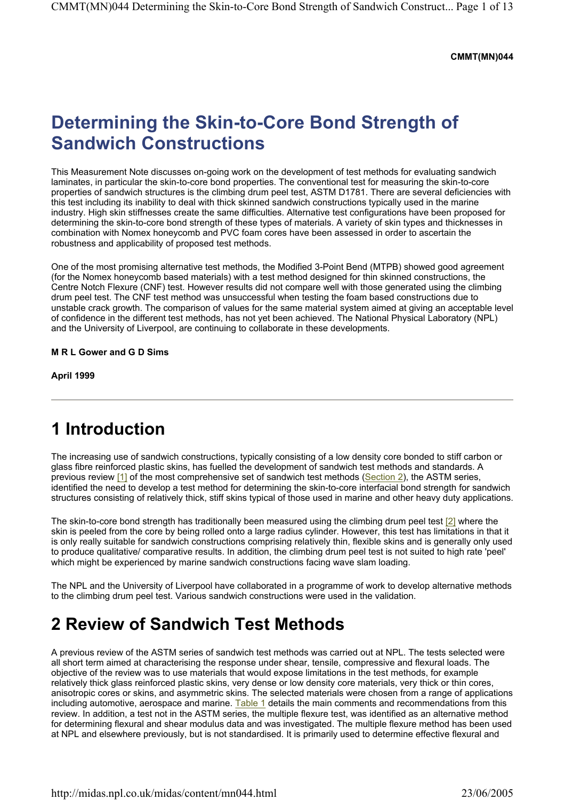#### **CMMT(MN)044**

# **Determining the Skin-to-Core Bond Strength of Sandwich Constructions**

This Measurement Note discusses on-going work on the development of test methods for evaluating sandwich laminates, in particular the skin-to-core bond properties. The conventional test for measuring the skin-to-core properties of sandwich structures is the climbing drum peel test, ASTM D1781. There are several deficiencies with this test including its inability to deal with thick skinned sandwich constructions typically used in the marine industry. High skin stiffnesses create the same difficulties. Alternative test configurations have been proposed for determining the skin-to-core bond strength of these types of materials. A variety of skin types and thicknesses in combination with Nomex honeycomb and PVC foam cores have been assessed in order to ascertain the robustness and applicability of proposed test methods.

One of the most promising alternative test methods, the Modified 3-Point Bend (MTPB) showed good agreement (for the Nomex honeycomb based materials) with a test method designed for thin skinned constructions, the Centre Notch Flexure (CNF) test. However results did not compare well with those generated using the climbing drum peel test. The CNF test method was unsuccessful when testing the foam based constructions due to unstable crack growth. The comparison of values for the same material system aimed at giving an acceptable level of confidence in the different test methods, has not yet been achieved. The National Physical Laboratory (NPL) and the University of Liverpool, are continuing to collaborate in these developments.

#### **M R L Gower and G D Sims**

**April 1999** 

## **1 Introduction**

The increasing use of sandwich constructions, typically consisting of a low density core bonded to stiff carbon or glass fibre reinforced plastic skins, has fuelled the development of sandwich test methods and standards. A previous review [1] of the most comprehensive set of sandwich test methods (Section 2), the ASTM series, identified the need to develop a test method for determining the skin-to-core interfacial bond strength for sandwich structures consisting of relatively thick, stiff skins typical of those used in marine and other heavy duty applications.

The skin-to-core bond strength has traditionally been measured using the climbing drum peel test [2] where the skin is peeled from the core by being rolled onto a large radius cylinder. However, this test has limitations in that it is only really suitable for sandwich constructions comprising relatively thin, flexible skins and is generally only used to produce qualitative/ comparative results. In addition, the climbing drum peel test is not suited to high rate 'peel' which might be experienced by marine sandwich constructions facing wave slam loading.

The NPL and the University of Liverpool have collaborated in a programme of work to develop alternative methods to the climbing drum peel test. Various sandwich constructions were used in the validation.

## **2 Review of Sandwich Test Methods**

A previous review of the ASTM series of sandwich test methods was carried out at NPL. The tests selected were all short term aimed at characterising the response under shear, tensile, compressive and flexural loads. The objective of the review was to use materials that would expose limitations in the test methods, for example relatively thick glass reinforced plastic skins, very dense or low density core materials, very thick or thin cores, anisotropic cores or skins, and asymmetric skins. The selected materials were chosen from a range of applications including automotive, aerospace and marine. Table 1 details the main comments and recommendations from this review. In addition, a test not in the ASTM series, the multiple flexure test, was identified as an alternative method for determining flexural and shear modulus data and was investigated. The multiple flexure method has been used at NPL and elsewhere previously, but is not standardised. It is primarily used to determine effective flexural and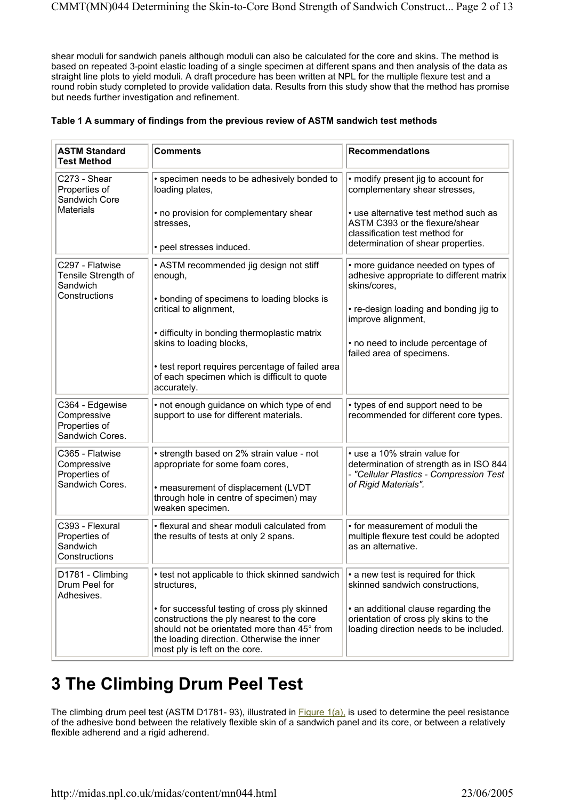shear moduli for sandwich panels although moduli can also be calculated for the core and skins. The method is based on repeated 3-point elastic loading of a single specimen at different spans and then analysis of the data as straight line plots to yield moduli. A draft procedure has been written at NPL for the multiple flexure test and a round robin study completed to provide validation data. Results from this study show that the method has promise but needs further investigation and refinement.

|  |  | Table 1 A summary of findings from the previous review of ASTM sandwich test methods |
|--|--|--------------------------------------------------------------------------------------|
|  |  |                                                                                      |

| <b>ASTM Standard</b><br><b>Test Method</b>                         | <b>Comments</b>                                                                                                                                                                                                          | <b>Recommendations</b>                                                                                                                     |
|--------------------------------------------------------------------|--------------------------------------------------------------------------------------------------------------------------------------------------------------------------------------------------------------------------|--------------------------------------------------------------------------------------------------------------------------------------------|
| C273 - Shear<br>Properties of<br>Sandwich Core                     | • specimen needs to be adhesively bonded to<br>loading plates,                                                                                                                                                           | • modify present jig to account for<br>complementary shear stresses,                                                                       |
| <b>Materials</b>                                                   | • no provision for complementary shear<br>stresses,                                                                                                                                                                      | • use alternative test method such as<br>ASTM C393 or the flexure/shear<br>classification test method for                                  |
|                                                                    | • peel stresses induced.                                                                                                                                                                                                 | determination of shear properties.                                                                                                         |
| C297 - Flatwise<br>Tensile Strength of<br>Sandwich                 | • ASTM recommended jig design not stiff<br>enough,                                                                                                                                                                       | • more guidance needed on types of<br>adhesive appropriate to different matrix<br>skins/cores,                                             |
| Constructions                                                      | • bonding of specimens to loading blocks is<br>critical to alignment,                                                                                                                                                    | • re-design loading and bonding jig to<br>improve alignment,                                                                               |
|                                                                    | • difficulty in bonding thermoplastic matrix<br>skins to loading blocks,                                                                                                                                                 | • no need to include percentage of<br>failed area of specimens.                                                                            |
|                                                                    | • test report requires percentage of failed area<br>of each specimen which is difficult to quote<br>accurately.                                                                                                          |                                                                                                                                            |
| C364 - Edgewise<br>Compressive<br>Properties of<br>Sandwich Cores. | • not enough guidance on which type of end<br>support to use for different materials.                                                                                                                                    | • types of end support need to be<br>recommended for different core types.                                                                 |
| C365 - Flatwise<br>Compressive<br>Properties of<br>Sandwich Cores. | • strength based on 2% strain value - not<br>appropriate for some foam cores,<br>• measurement of displacement (LVDT<br>through hole in centre of specimen) may<br>weaken specimen.                                      | • use a 10% strain value for<br>determination of strength as in ISO 844<br>- "Cellular Plastics - Compression Test<br>of Rigid Materials". |
| C393 - Flexural                                                    | • flexural and shear moduli calculated from                                                                                                                                                                              | • for measurement of moduli the                                                                                                            |
| Properties of<br>Sandwich<br>Constructions                         | the results of tests at only 2 spans.                                                                                                                                                                                    | multiple flexure test could be adopted<br>as an alternative.                                                                               |
| D1781 - Climbing<br>Drum Peel for<br>Adhesives.                    | • test not applicable to thick skinned sandwich<br>structures,                                                                                                                                                           | • a new test is required for thick<br>skinned sandwich constructions,                                                                      |
|                                                                    | • for successful testing of cross ply skinned<br>constructions the ply nearest to the core<br>should not be orientated more than 45° from<br>the loading direction. Otherwise the inner<br>most ply is left on the core. | • an additional clause regarding the<br>orientation of cross ply skins to the<br>loading direction needs to be included.                   |

# **3 The Climbing Drum Peel Test**

The climbing drum peel test (ASTM D1781- 93), illustrated in Figure 1(a), is used to determine the peel resistance of the adhesive bond between the relatively flexible skin of a sandwich panel and its core, or between a relatively flexible adherend and a rigid adherend.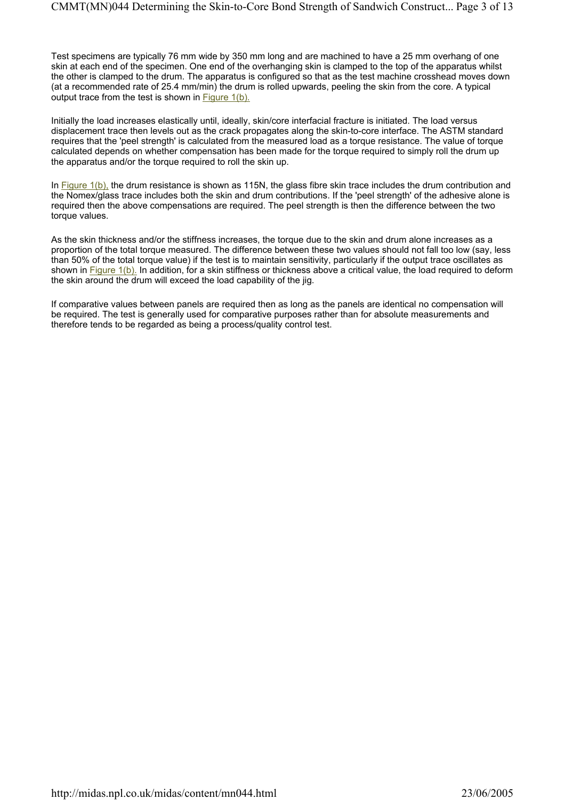Test specimens are typically 76 mm wide by 350 mm long and are machined to have a 25 mm overhang of one skin at each end of the specimen. One end of the overhanging skin is clamped to the top of the apparatus whilst the other is clamped to the drum. The apparatus is configured so that as the test machine crosshead moves down (at a recommended rate of 25.4 mm/min) the drum is rolled upwards, peeling the skin from the core. A typical output trace from the test is shown in Figure 1(b).

Initially the load increases elastically until, ideally, skin/core interfacial fracture is initiated. The load versus displacement trace then levels out as the crack propagates along the skin-to-core interface. The ASTM standard requires that the 'peel strength' is calculated from the measured load as a torque resistance. The value of torque calculated depends on whether compensation has been made for the torque required to simply roll the drum up the apparatus and/or the torque required to roll the skin up.

In Figure 1(b), the drum resistance is shown as 115N, the glass fibre skin trace includes the drum contribution and the Nomex/glass trace includes both the skin and drum contributions. If the 'peel strength' of the adhesive alone is required then the above compensations are required. The peel strength is then the difference between the two torque values.

As the skin thickness and/or the stiffness increases, the torque due to the skin and drum alone increases as a proportion of the total torque measured. The difference between these two values should not fall too low (say, less than 50% of the total torque value) if the test is to maintain sensitivity, particularly if the output trace oscillates as shown in Figure 1(b). In addition, for a skin stiffness or thickness above a critical value, the load required to deform the skin around the drum will exceed the load capability of the jig.

If comparative values between panels are required then as long as the panels are identical no compensation will be required. The test is generally used for comparative purposes rather than for absolute measurements and therefore tends to be regarded as being a process/quality control test.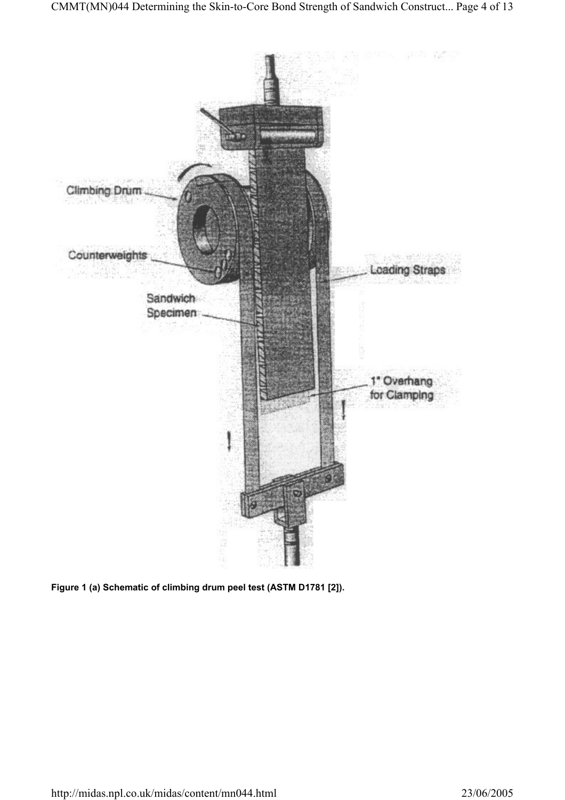

**Figure 1 (a) Schematic of climbing drum peel test (ASTM D1781 [2]).**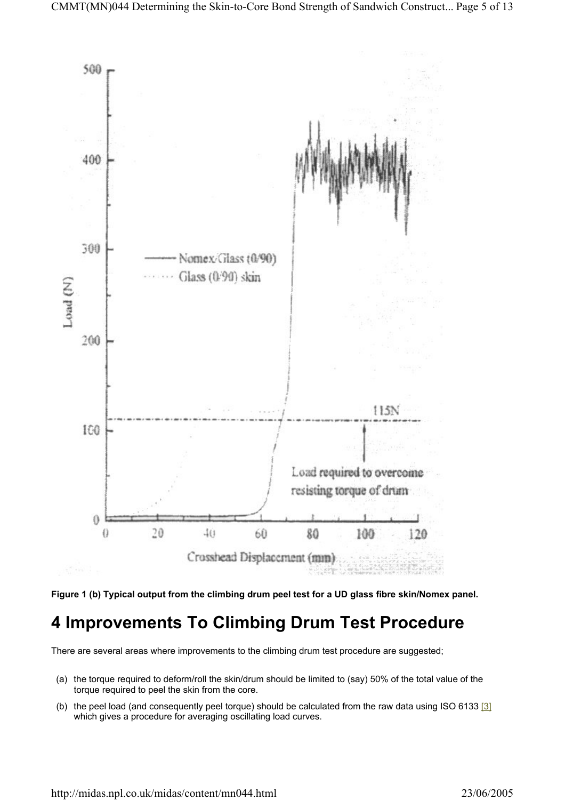



## **4 Improvements To Climbing Drum Test Procedure**

There are several areas where improvements to the climbing drum test procedure are suggested;

- (a) the torque required to deform/roll the skin/drum should be limited to (say) 50% of the total value of the torque required to peel the skin from the core.
- (b) the peel load (and consequently peel torque) should be calculated from the raw data using ISO 6133  $[3]$ which gives a procedure for averaging oscillating load curves.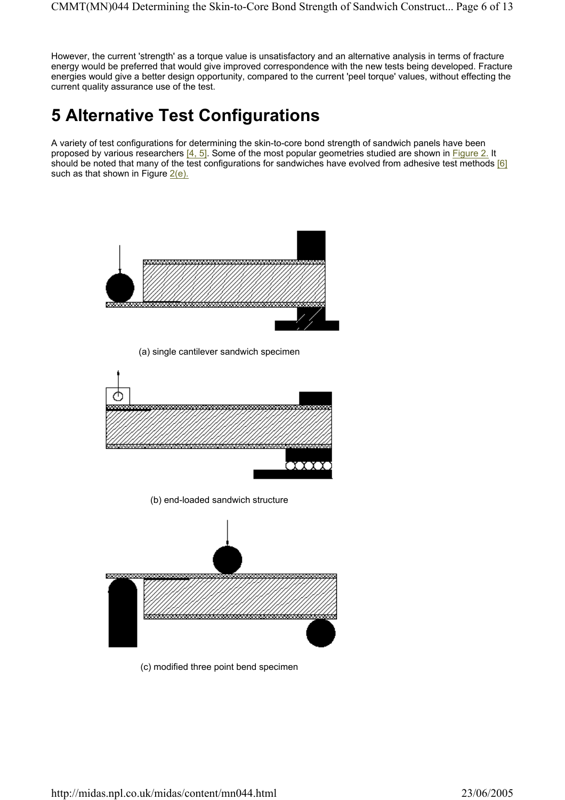However, the current 'strength' as a torque value is unsatisfactory and an alternative analysis in terms of fracture energy would be preferred that would give improved correspondence with the new tests being developed. Fracture energies would give a better design opportunity, compared to the current 'peel torque' values, without effecting the current quality assurance use of the test.

# **5 Alternative Test Configurations**

A variety of test configurations for determining the skin-to-core bond strength of sandwich panels have been proposed by various researchers [4, 5]. Some of the most popular geometries studied are shown in Figure 2. It should be noted that many of the test configurations for sandwiches have evolved from adhesive test methods [6] such as that shown in Figure  $2(e)$ .



(c) modified three point bend specimen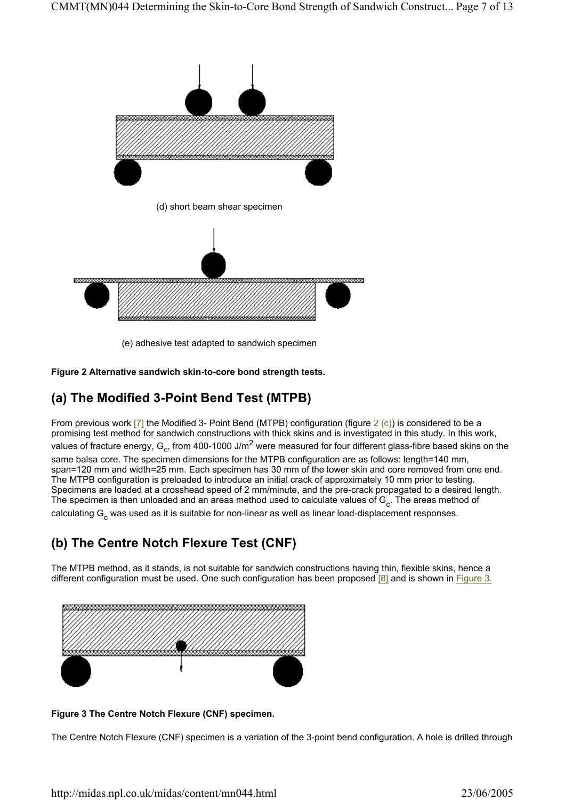

(e) adhesive test adapted to sandwich specimen

**Figure 2 Alternative sandwich skin-to-core bond strength tests.** 

### **(a) The Modified 3-Point Bend Test (MTPB)**

From previous work [7] the Modified 3- Point Bend (MTPB) configuration (figure  $2$  (c)) is considered to be a promising test method for sandwich constructions with thick skins and is investigated in this study. In this work, values of fracture energy,  $G_c$ , from 400-1000 J/m<sup>2</sup> were measured for four different glass-fibre based skins on the same balsa core. The specimen dimensions for the MTPB configuration are as follows: length=140 mm, span=120 mm and width=25 mm. Each specimen has 30 mm of the lower skin and core removed from one end. The MTPB configuration is preloaded to introduce an initial crack of approximately 10 mm prior to testing. Specimens are loaded at a crosshead speed of 2 mm/minute, and the pre-crack propagated to a desired length. The specimen is then unloaded and an areas method used to calculate values of  $G_c$ . The areas method of calculating  $G_c$  was used as it is suitable for non-linear as well as linear load-displacement responses.

### **(b) The Centre Notch Flexure Test (CNF)**

The MTPB method, as it stands, is not suitable for sandwich constructions having thin, flexible skins, hence a different configuration must be used. One such configuration has been proposed [8] and is shown in Figure 3.



**Figure 3 The Centre Notch Flexure (CNF) specimen.** 

The Centre Notch Flexure (CNF) specimen is a variation of the 3-point bend configuration. A hole is drilled through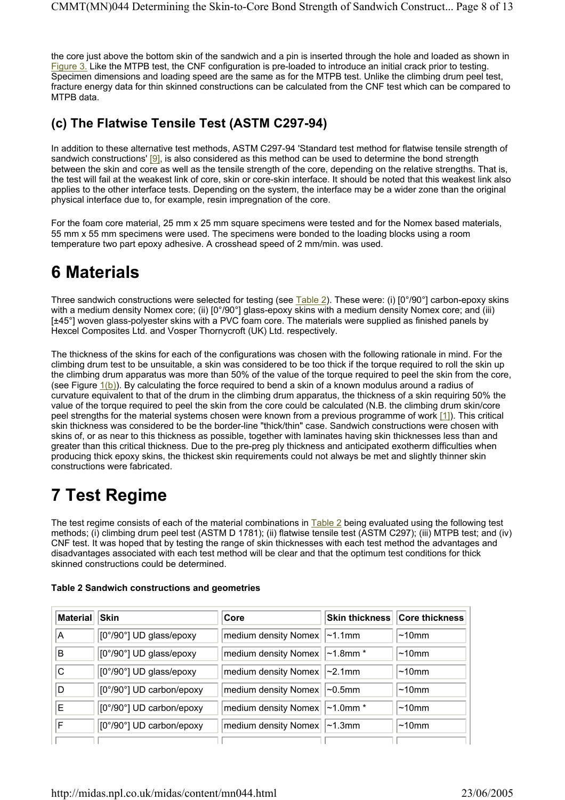the core just above the bottom skin of the sandwich and a pin is inserted through the hole and loaded as shown in Figure 3. Like the MTPB test, the CNF configuration is pre-loaded to introduce an initial crack prior to testing. Specimen dimensions and loading speed are the same as for the MTPB test. Unlike the climbing drum peel test, fracture energy data for thin skinned constructions can be calculated from the CNF test which can be compared to MTPB data.

### **(c) The Flatwise Tensile Test (ASTM C297-94)**

In addition to these alternative test methods, ASTM C297-94 'Standard test method for flatwise tensile strength of sandwich constructions' [9], is also considered as this method can be used to determine the bond strength between the skin and core as well as the tensile strength of the core, depending on the relative strengths. That is, the test will fail at the weakest link of core, skin or core-skin interface. It should be noted that this weakest link also applies to the other interface tests. Depending on the system, the interface may be a wider zone than the original physical interface due to, for example, resin impregnation of the core.

For the foam core material, 25 mm x 25 mm square specimens were tested and for the Nomex based materials, 55 mm x 55 mm specimens were used. The specimens were bonded to the loading blocks using a room temperature two part epoxy adhesive. A crosshead speed of 2 mm/min. was used.

# **6 Materials**

Three sandwich constructions were selected for testing (see Table 2). These were: (i) [0°/90°] carbon-epoxy skins with a medium density Nomex core; (ii) [0°/90°] glass-epoxy skins with a medium density Nomex core; and (iii) [±45°] woven glass-polyester skins with a PVC foam core. The materials were supplied as finished panels by Hexcel Composites Ltd. and Vosper Thornycroft (UK) Ltd. respectively.

The thickness of the skins for each of the configurations was chosen with the following rationale in mind. For the climbing drum test to be unsuitable, a skin was considered to be too thick if the torque required to roll the skin up the climbing drum apparatus was more than 50% of the value of the torque required to peel the skin from the core, (see Figure  $1(b)$ ). By calculating the force required to bend a skin of a known modulus around a radius of curvature equivalent to that of the drum in the climbing drum apparatus, the thickness of a skin requiring 50% the value of the torque required to peel the skin from the core could be calculated (N.B. the climbing drum skin/core peel strengths for the material systems chosen were known from a previous programme of work [1]). This critical skin thickness was considered to be the border-line "thick/thin" case. Sandwich constructions were chosen with skins of, or as near to this thickness as possible, together with laminates having skin thicknesses less than and greater than this critical thickness. Due to the pre-preg ply thickness and anticipated exotherm difficulties when producing thick epoxy skins, the thickest skin requirements could not always be met and slightly thinner skin constructions were fabricated.

# **7 Test Regime**

The test regime consists of each of the material combinations in Table 2 being evaluated using the following test methods; (i) climbing drum peel test (ASTM D 1781); (ii) flatwise tensile test (ASTM C297); (iii) MTPB test; and (iv) CNF test. It was hoped that by testing the range of skin thicknesses with each test method the advantages and disadvantages associated with each test method will be clear and that the optimum test conditions for thick skinned constructions could be determined.

| <b>Material</b> | <b>Skin</b>              | Core                            | Skin thickness Core thickness |
|-----------------|--------------------------|---------------------------------|-------------------------------|
| A               | [0°/90°] UD glass/epoxy  | medium density Nomex   ~1.1mm   | $\sim$ 10mm                   |
| B               | [0°/90°] UD glass/epoxy  | medium density Nomex   ~1.8mm * | $\sim$ 10mm                   |
| C               | [0°/90°] UD glass/epoxy  | medium density Nomex   ~2.1mm   | $\sim$ 10mm                   |
| D               | [0°/90°] UD carbon/epoxy | medium density Nomex   ~0.5mm   | $\sim$ 10mm                   |
| E               | [0°/90°] UD carbon/epoxy | medium density Nomex   ~1.0mm * | $\sim$ 10mm                   |
| F               | [0°/90°] UD carbon/epoxy | medium density Nomex   ~1.3mm   | $\sim$ 10mm                   |
|                 |                          |                                 |                               |

#### **Table 2 Sandwich constructions and geometries**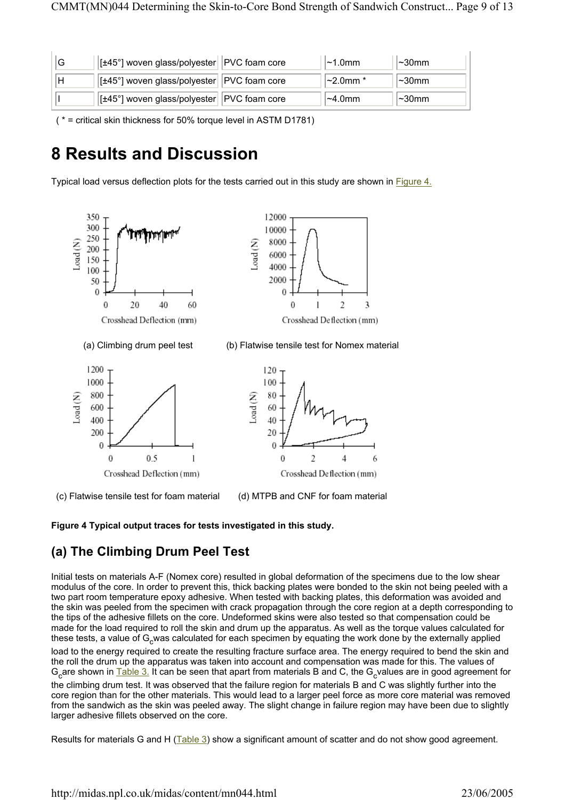| ١G | $\vert$ [±45°] woven glass/polyester $\vert$ PVC foam core | $\sim$ 1.0mm     | $\sim$ 30mm |
|----|------------------------------------------------------------|------------------|-------------|
|    | $\vert$ [±45°] woven glass/polyester $\vert$ PVC foam core | $\sim$ 2.0mm $*$ | l∼30mm      |
|    | [±45°] woven glass/polyester   PVC foam core               | $\sim$ 4.0mm     | l∼30mm      |

( \* = critical skin thickness for 50% torque level in ASTM D1781)

## **8 Results and Discussion**

Typical load versus deflection plots for the tests carried out in this study are shown in **Figure 4.** 



(c) Flatwise tensile test for foam material (d) MTPB and CNF for foam material

**Figure 4 Typical output traces for tests investigated in this study.** 

### **(a) The Climbing Drum Peel Test**

Initial tests on materials A-F (Nomex core) resulted in global deformation of the specimens due to the low shear modulus of the core. In order to prevent this, thick backing plates were bonded to the skin not being peeled with a two part room temperature epoxy adhesive. When tested with backing plates, this deformation was avoided and the skin was peeled from the specimen with crack propagation through the core region at a depth corresponding to the tips of the adhesive fillets on the core. Undeformed skins were also tested so that compensation could be made for the load required to roll the skin and drum up the apparatus. As well as the torque values calculated for these tests, a value of G<sub>c</sub>was calculated for each specimen by equating the work done by the externally applied

load to the energy required to create the resulting fracture surface area. The energy required to bend the skin and the roll the drum up the apparatus was taken into account and compensation was made for this. The values of  $G_c$ are shown in Table 3. It can be seen that apart from materials B and C, the  $G_c$ values are in good agreement for the climbing drum test. It was observed that the failure region for materials B and C was slightly further into the core region than for the other materials. This would lead to a larger peel force as more core material was removed from the sandwich as the skin was peeled away. The slight change in failure region may have been due to slightly larger adhesive fillets observed on the core.

Results for materials G and H (Table 3) show a significant amount of scatter and do not show good agreement.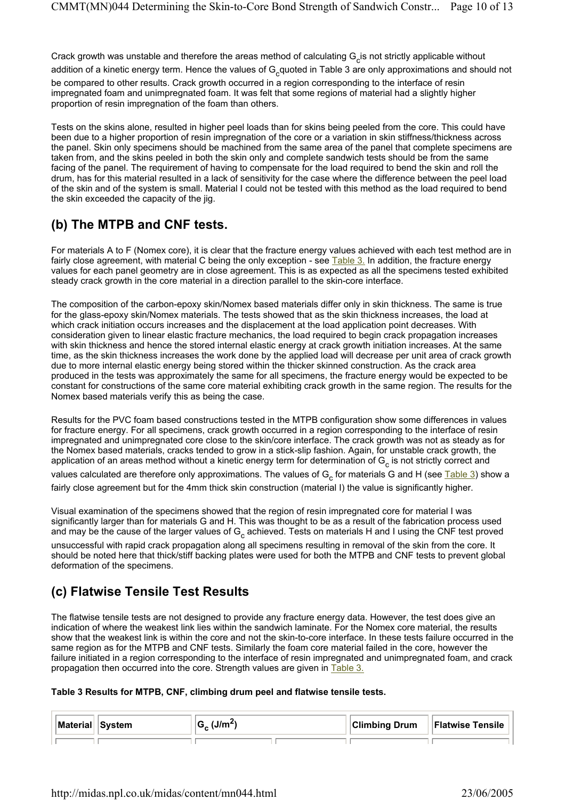Crack growth was unstable and therefore the areas method of calculating  $G_c$  is not strictly applicable without addition of a kinetic energy term. Hence the values of  $G_{c}$ quoted in Table 3 are only approximations and should not

be compared to other results. Crack growth occurred in a region corresponding to the interface of resin impregnated foam and unimpregnated foam. It was felt that some regions of material had a slightly higher proportion of resin impregnation of the foam than others.

Tests on the skins alone, resulted in higher peel loads than for skins being peeled from the core. This could have been due to a higher proportion of resin impregnation of the core or a variation in skin stiffness/thickness across the panel. Skin only specimens should be machined from the same area of the panel that complete specimens are taken from, and the skins peeled in both the skin only and complete sandwich tests should be from the same facing of the panel. The requirement of having to compensate for the load required to bend the skin and roll the drum, has for this material resulted in a lack of sensitivity for the case where the difference between the peel load of the skin and of the system is small. Material I could not be tested with this method as the load required to bend the skin exceeded the capacity of the jig.

## **(b) The MTPB and CNF tests.**

For materials A to F (Nomex core), it is clear that the fracture energy values achieved with each test method are in fairly close agreement, with material C being the only exception - see Table 3. In addition, the fracture energy values for each panel geometry are in close agreement. This is as expected as all the specimens tested exhibited steady crack growth in the core material in a direction parallel to the skin-core interface.

The composition of the carbon-epoxy skin/Nomex based materials differ only in skin thickness. The same is true for the glass-epoxy skin/Nomex materials. The tests showed that as the skin thickness increases, the load at which crack initiation occurs increases and the displacement at the load application point decreases. With consideration given to linear elastic fracture mechanics, the load required to begin crack propagation increases with skin thickness and hence the stored internal elastic energy at crack growth initiation increases. At the same time, as the skin thickness increases the work done by the applied load will decrease per unit area of crack growth due to more internal elastic energy being stored within the thicker skinned construction. As the crack area produced in the tests was approximately the same for all specimens, the fracture energy would be expected to be constant for constructions of the same core material exhibiting crack growth in the same region. The results for the Nomex based materials verify this as being the case.

Results for the PVC foam based constructions tested in the MTPB configuration show some differences in values for fracture energy. For all specimens, crack growth occurred in a region corresponding to the interface of resin impregnated and unimpregnated core close to the skin/core interface. The crack growth was not as steady as for the Nomex based materials, cracks tended to grow in a stick-slip fashion. Again, for unstable crack growth, the application of an areas method without a kinetic energy term for determination of  $G_c$  is not strictly correct and values calculated are therefore only approximations. The values of  $G_c$  for materials G and H (see Table 3) show a fairly close agreement but for the 4mm thick skin construction (material I) the value is significantly higher.

Visual examination of the specimens showed that the region of resin impregnated core for material I was significantly larger than for materials G and H. This was thought to be as a result of the fabrication process used and may be the cause of the larger values of  $G_c$  achieved. Tests on materials H and I using the CNF test proved

unsuccessful with rapid crack propagation along all specimens resulting in removal of the skin from the core. It should be noted here that thick/stiff backing plates were used for both the MTPB and CNF tests to prevent global deformation of the specimens.

### **(c) Flatwise Tensile Test Results**

The flatwise tensile tests are not designed to provide any fracture energy data. However, the test does give an indication of where the weakest link lies within the sandwich laminate. For the Nomex core material, the results show that the weakest link is within the core and not the skin-to-core interface. In these tests failure occurred in the same region as for the MTPB and CNF tests. Similarly the foam core material failed in the core, however the failure initiated in a region corresponding to the interface of resin impregnated and unimpregnated foam, and crack propagation then occurred into the core. Strength values are given in Table 3.

#### **Table 3 Results for MTPB, CNF, climbing drum peel and flatwise tensile tests.**

| Material | System | ⊥lm' | <b>Climbing Drum</b> | <b>Flatwise Tensile</b> |
|----------|--------|------|----------------------|-------------------------|
|          |        |      |                      |                         |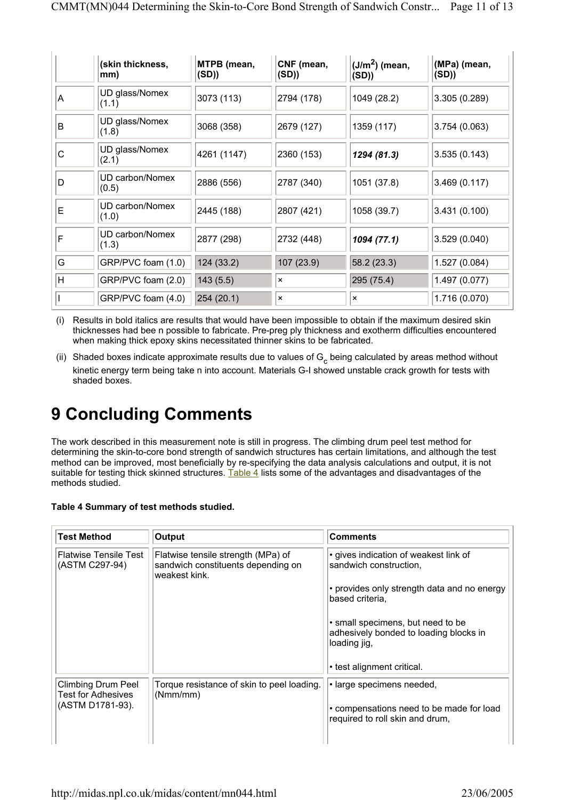|   | (skin thickness,<br>mm)  | MTPB (mean,<br>(SD)) | CNF (mean,<br>(SD)        | $(J/m2)$ (mean,<br>(SD)   | (MPa) (mean,<br>(SD) |
|---|--------------------------|----------------------|---------------------------|---------------------------|----------------------|
| A | UD glass/Nomex<br>(1.1)  | 3073 (113)           | 2794 (178)                | 1049 (28.2)               | 3.305(0.289)         |
| B | UD glass/Nomex<br>(1.8)  | 3068 (358)           | 2679 (127)                | 1359 (117)                | 3.754(0.063)         |
| C | UD glass/Nomex<br>(2.1)  | 4261 (1147)          | 2360 (153)                | 1294 (81.3)               | 3.535(0.143)         |
| D | UD carbon/Nomex<br>(0.5) | 2886 (556)           | 2787 (340)                | 1051 (37.8)               | 3.469(0.117)         |
| Е | UD carbon/Nomex<br>(1.0) | 2445 (188)           | 2807 (421)                | 1058 (39.7)               | 3.431(0.100)         |
| F | UD carbon/Nomex<br>(1.3) | 2877 (298)           | 2732 (448)                | 1094 (77.1)               | 3.529(0.040)         |
| G | GRP/PVC foam (1.0)       | 124(33.2)            | 107 (23.9)                | 58.2(23.3)                | 1.527 (0.084)        |
| H | GRP/PVC foam (2.0)       | 143(5.5)             | $\boldsymbol{\mathsf{x}}$ | 295 (75.4)                | 1.497 (0.077)        |
|   | GRP/PVC foam (4.0)       | 254(20.1)            | ×                         | $\boldsymbol{\mathsf{x}}$ | 1.716 (0.070)        |

(i) Results in bold italics are results that would have been impossible to obtain if the maximum desired skin thicknesses had bee n possible to fabricate. Pre-preg ply thickness and exotherm difficulties encountered when making thick epoxy skins necessitated thinner skins to be fabricated.

(ii) Shaded boxes indicate approximate results due to values of  $G_c$  being calculated by areas method without kinetic energy term being take n into account. Materials G-I showed unstable crack growth for tests with shaded boxes.

# **9 Concluding Comments**

The work described in this measurement note is still in progress. The climbing drum peel test method for determining the skin-to-core bond strength of sandwich structures has certain limitations, and although the test method can be improved, most beneficially by re-specifying the data analysis calculations and output, it is not suitable for testing thick skinned structures. Table 4 lists some of the advantages and disadvantages of the methods studied.

| Table 4 Summary of test methods studied. |
|------------------------------------------|
|------------------------------------------|

| <b>Test Method</b>                                     | Output                                                                                    | <b>Comments</b>                                                                             |
|--------------------------------------------------------|-------------------------------------------------------------------------------------------|---------------------------------------------------------------------------------------------|
| Flatwise Tensile Test<br>(ASTM C297-94)                | Flatwise tensile strength (MPa) of<br>sandwich constituents depending on<br>weakest kink. | • gives indication of weakest link of<br>sandwich construction.                             |
|                                                        |                                                                                           | • provides only strength data and no energy<br>based criteria,                              |
|                                                        |                                                                                           | • small specimens, but need to be<br>adhesively bonded to loading blocks in<br>loading jig, |
|                                                        |                                                                                           | • test alignment critical.                                                                  |
| <b>Climbing Drum Peel</b><br><b>Test for Adhesives</b> | Torque resistance of skin to peel loading.<br>(Nmm/mm)                                    | · large specimens needed,                                                                   |
| (ASTM D1781-93).                                       |                                                                                           | • compensations need to be made for load<br>required to roll skin and drum,                 |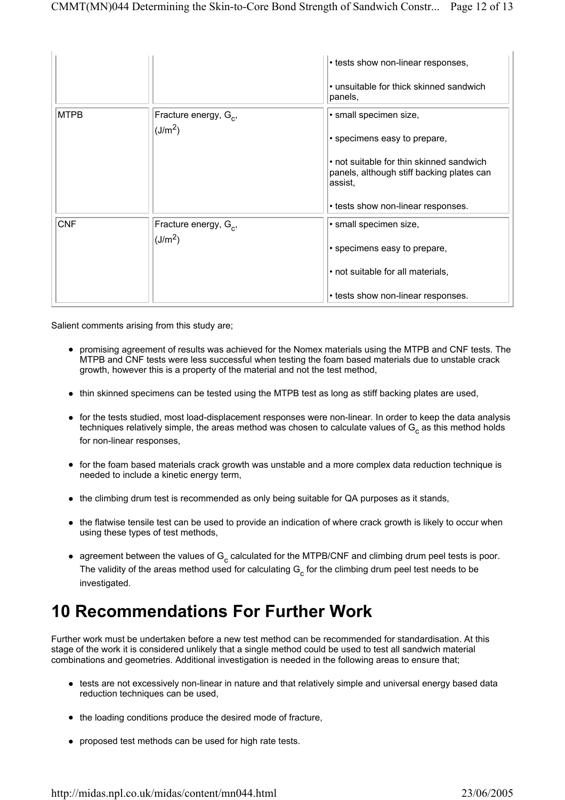|             |                                                   | • tests show non-linear responses,                                                               |
|-------------|---------------------------------------------------|--------------------------------------------------------------------------------------------------|
|             |                                                   | • unsuitable for thick skinned sandwich<br>panels,                                               |
| <b>MTPB</b> | Fracture energy, $G_{c}$ ,<br>(J/m <sup>2</sup> ) | · small specimen size,                                                                           |
|             |                                                   | • specimens easy to prepare,                                                                     |
|             |                                                   | • not suitable for thin skinned sandwich<br>panels, although stiff backing plates can<br>assist. |
|             |                                                   | • tests show non-linear responses.                                                               |
| <b>CNF</b>  | Fracture energy, G <sub>c</sub> ,                 | · small specimen size,                                                                           |
|             | (J/m <sup>2</sup> )                               | • specimens easy to prepare,                                                                     |
|             |                                                   | • not suitable for all materials,                                                                |
|             |                                                   | • tests show non-linear responses.                                                               |

Salient comments arising from this study are;

- promising agreement of results was achieved for the Nomex materials using the MTPB and CNF tests. The MTPB and CNF tests were less successful when testing the foam based materials due to unstable crack growth, however this is a property of the material and not the test method,
- thin skinned specimens can be tested using the MTPB test as long as stiff backing plates are used,
- for the tests studied, most load-displacement responses were non-linear. In order to keep the data analysis techniques relatively simple, the areas method was chosen to calculate values of  $G_c$  as this method holds for non-linear responses,
- for the foam based materials crack growth was unstable and a more complex data reduction technique is needed to include a kinetic energy term,
- $\bullet$  the climbing drum test is recommended as only being suitable for QA purposes as it stands,
- the flatwise tensile test can be used to provide an indication of where crack growth is likely to occur when using these types of test methods,
- agreement between the values of  $G_c$  calculated for the MTPB/CNF and climbing drum peel tests is poor. The validity of the areas method used for calculating  $G_c$  for the climbing drum peel test needs to be investigated.

## **10 Recommendations For Further Work**

Further work must be undertaken before a new test method can be recommended for standardisation. At this stage of the work it is considered unlikely that a single method could be used to test all sandwich material combinations and geometries. Additional investigation is needed in the following areas to ensure that;

- tests are not excessively non-linear in nature and that relatively simple and universal energy based data reduction techniques can be used,
- the loading conditions produce the desired mode of fracture,
- proposed test methods can be used for high rate tests.